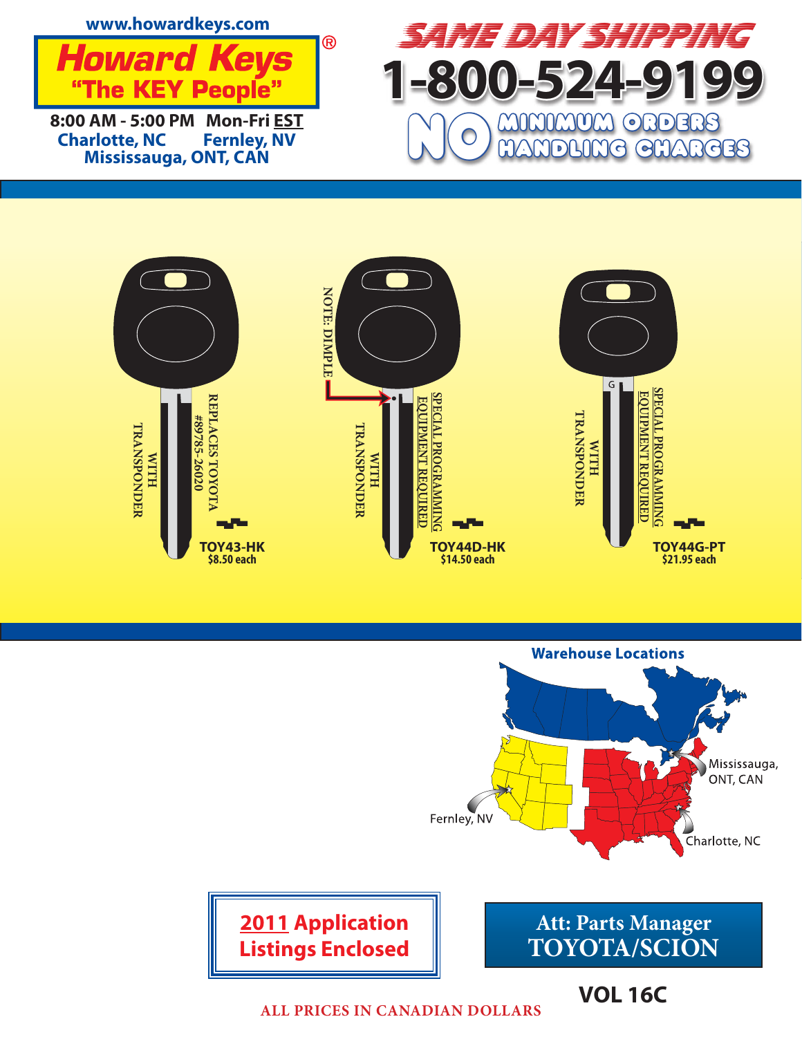





**ALL PRICES IN CANADIAN DOLLARS**

**VOL 16C**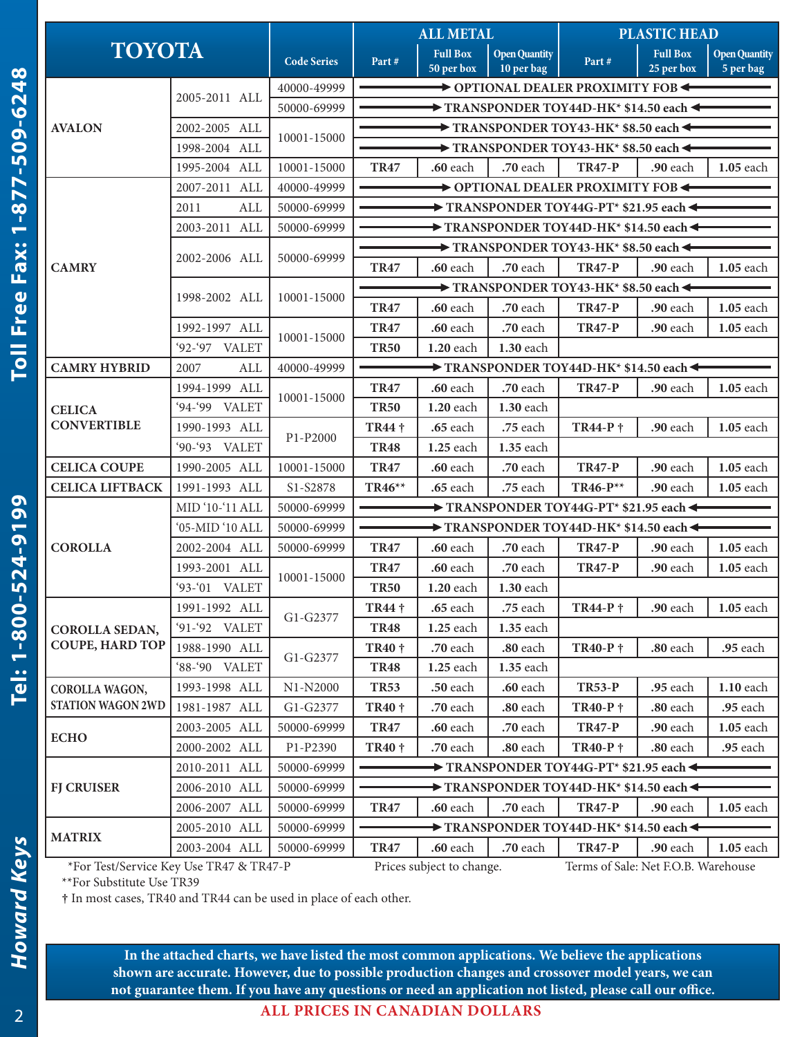| <b>TOYOTA</b>                           |                 |                    | <b>ALL METAL</b>                                                                                                                               |                                                                                | <b>PLASTIC HEAD</b>                |                                                                                                                                                                                                                                                                                                                                                                                                                                                                                                                                                                                            |                 |                                   |  |  |
|-----------------------------------------|-----------------|--------------------|------------------------------------------------------------------------------------------------------------------------------------------------|--------------------------------------------------------------------------------|------------------------------------|--------------------------------------------------------------------------------------------------------------------------------------------------------------------------------------------------------------------------------------------------------------------------------------------------------------------------------------------------------------------------------------------------------------------------------------------------------------------------------------------------------------------------------------------------------------------------------------------|-----------------|-----------------------------------|--|--|
|                                         |                 | <b>Code Series</b> | Part#                                                                                                                                          | <b>Full Box</b>                                                                | <b>Open Quantity</b><br>10 per bag | Part#                                                                                                                                                                                                                                                                                                                                                                                                                                                                                                                                                                                      | <b>Full Box</b> | <b>Open Quantity</b><br>5 per bag |  |  |
|                                         |                 | 40000-49999        |                                                                                                                                                | 50 per box                                                                     |                                    |                                                                                                                                                                                                                                                                                                                                                                                                                                                                                                                                                                                            |                 |                                   |  |  |
|                                         | 2005-2011 ALL   | 50000-69999        | OPTIONAL DEALER PROXIMITY FOB                                                                                                                  |                                                                                |                                    |                                                                                                                                                                                                                                                                                                                                                                                                                                                                                                                                                                                            |                 |                                   |  |  |
| <b>AVALON</b>                           | 2002-2005 ALL   |                    | $\blacktriangleright$ TRANSPONDER TOY44D-HK* \$14.50 each $\blacktriangleleft$<br>$\rightarrow$ TRANSPONDER TOY43-HK* \$8.50 each $\leftarrow$ |                                                                                |                                    |                                                                                                                                                                                                                                                                                                                                                                                                                                                                                                                                                                                            |                 |                                   |  |  |
|                                         | 1998-2004 ALL   | 10001-15000        | $\rightarrow$ TRANSPONDER TOY43-HK* \$8.50 each $\leftarrow$                                                                                   |                                                                                |                                    |                                                                                                                                                                                                                                                                                                                                                                                                                                                                                                                                                                                            |                 |                                   |  |  |
|                                         | 1995-2004 ALL   | 10001-15000        | <b>TR47</b>                                                                                                                                    | .60 each                                                                       | .70 each                           |                                                                                                                                                                                                                                                                                                                                                                                                                                                                                                                                                                                            |                 | 1.05 each                         |  |  |
|                                         | 2007-2011 ALL   | 40000-49999        |                                                                                                                                                |                                                                                |                                    |                                                                                                                                                                                                                                                                                                                                                                                                                                                                                                                                                                                            |                 |                                   |  |  |
|                                         | 2011<br>ALL     | 50000-69999        |                                                                                                                                                | $\blacktriangleright$ TRANSPONDER TOY44G-PT* \$21.95 each $\blacktriangleleft$ |                                    |                                                                                                                                                                                                                                                                                                                                                                                                                                                                                                                                                                                            |                 |                                   |  |  |
|                                         | 2003-2011 ALL   | 50000-69999        | TRANSPONDER TOY44D-HK* \$14.50 each $\blacktriangleleft$                                                                                       |                                                                                |                                    |                                                                                                                                                                                                                                                                                                                                                                                                                                                                                                                                                                                            |                 |                                   |  |  |
|                                         |                 |                    |                                                                                                                                                |                                                                                |                                    |                                                                                                                                                                                                                                                                                                                                                                                                                                                                                                                                                                                            |                 |                                   |  |  |
| <b>CAMRY</b>                            | 2002-2006 ALL   | 50000-69999        | <b>TR47</b>                                                                                                                                    | .60 each                                                                       | .70 each                           | <b>TR47-P</b>                                                                                                                                                                                                                                                                                                                                                                                                                                                                                                                                                                              | .90 each        | 1.05 each                         |  |  |
|                                         |                 |                    |                                                                                                                                                |                                                                                |                                    |                                                                                                                                                                                                                                                                                                                                                                                                                                                                                                                                                                                            |                 |                                   |  |  |
|                                         | 1998-2002 ALL   | 10001-15000        | <b>TR47</b>                                                                                                                                    | .60 each                                                                       | .70 each                           | <b>TR47-P</b>                                                                                                                                                                                                                                                                                                                                                                                                                                                                                                                                                                              | .90 each        | 1.05 each                         |  |  |
|                                         | 1992-1997 ALL   |                    | <b>TR47</b>                                                                                                                                    | .60 each                                                                       | .70 each                           | <b>TR47-P</b>                                                                                                                                                                                                                                                                                                                                                                                                                                                                                                                                                                              | .90 each        | 1.05 each                         |  |  |
|                                         | '92-'97 VALET   | 10001-15000        | <b>TR50</b>                                                                                                                                    | 1.20 each                                                                      | 1.30 each                          |                                                                                                                                                                                                                                                                                                                                                                                                                                                                                                                                                                                            |                 |                                   |  |  |
| <b>CAMRY HYBRID</b>                     | 2007<br>ALL     | 40000-49999        |                                                                                                                                                |                                                                                |                                    |                                                                                                                                                                                                                                                                                                                                                                                                                                                                                                                                                                                            |                 |                                   |  |  |
|                                         | 1994-1999 ALL   | 10001-15000        | <b>TR47</b>                                                                                                                                    | .60 each                                                                       | .70 each                           | <b>TR47-P</b>                                                                                                                                                                                                                                                                                                                                                                                                                                                                                                                                                                              | .90 each        | 1.05 each                         |  |  |
| <b>CELICA</b>                           | '94-'99 VALET   |                    | <b>TR50</b>                                                                                                                                    | 1.20 each                                                                      | 1.30 each                          |                                                                                                                                                                                                                                                                                                                                                                                                                                                                                                                                                                                            |                 |                                   |  |  |
| <b>CONVERTIBLE</b>                      | 1990-1993 ALL   | P1-P2000           | TR44 †                                                                                                                                         | .65 each                                                                       | .75 each                           | TR44-P +                                                                                                                                                                                                                                                                                                                                                                                                                                                                                                                                                                                   | .90 each        | 1.05 each                         |  |  |
|                                         | '90-'93 VALET   |                    | <b>TR48</b>                                                                                                                                    | 1.25 each                                                                      | 1.35 each                          |                                                                                                                                                                                                                                                                                                                                                                                                                                                                                                                                                                                            |                 |                                   |  |  |
| <b>CELICA COUPE</b>                     | 1990-2005 ALL   | 10001-15000        | <b>TR47</b>                                                                                                                                    | .60 each                                                                       | .70 each                           | <b>TR47-P</b>                                                                                                                                                                                                                                                                                                                                                                                                                                                                                                                                                                              | .90 each        | 1.05 each                         |  |  |
| <b>CELICA LIFTBACK</b>                  | 1991-1993 ALL   | S1-S2878           | TR46**                                                                                                                                         | .65 each                                                                       | .75 each                           | TR46-P**                                                                                                                                                                                                                                                                                                                                                                                                                                                                                                                                                                                   | .90 each        | 1.05 each                         |  |  |
|                                         | MID '10-'11 ALL | 50000-69999        | $\rightarrow$ TRANSPONDER TOY44G-PT* \$21.95 each $\leftarrow$                                                                                 |                                                                                |                                    |                                                                                                                                                                                                                                                                                                                                                                                                                                                                                                                                                                                            |                 |                                   |  |  |
|                                         | '05-MID '10 ALL | 50000-69999        | TRANSPONDER TOY44D-HK* \$14.50 each                                                                                                            |                                                                                |                                    |                                                                                                                                                                                                                                                                                                                                                                                                                                                                                                                                                                                            |                 |                                   |  |  |
| <b>COROLLA</b>                          | 2002-2004 ALL   | 50000-69999        | <b>TR47</b>                                                                                                                                    | .60 each                                                                       | .70 each                           | <b>TR47-P</b>                                                                                                                                                                                                                                                                                                                                                                                                                                                                                                                                                                              | .90 each        | 1.05 each                         |  |  |
|                                         | 1993-2001 ALL   | 10001-15000        | <b>TR47</b>                                                                                                                                    | .60 each                                                                       | .70 each                           | <b>TR47-P</b>                                                                                                                                                                                                                                                                                                                                                                                                                                                                                                                                                                              | .90 each        | 1.05 each                         |  |  |
|                                         | '93-'01 VALET   |                    | <b>TR50</b>                                                                                                                                    | 1.20 each                                                                      | 1.30 each                          | 25 per box<br><b>TR47-P</b><br>.90 each<br>→ OPTIONAL DEALER PROXIMITY FOB ←<br>$\rightarrow$ TRANSPONDER TOY43-HK* \$8.50 each $\leftarrow$<br>$\rightarrow$ TRANSPONDER TOY43-HK* \$8.50 each $\leftarrow$<br>$\rightarrow$ TRANSPONDER TOY44D-HK* \$14.50 each $\rightarrow$<br>TR44-P †<br><b>TR40-P +</b><br>.80 each<br><b>TR53-P</b><br>.95 each<br><b>TR40-P</b> †<br>.80 each<br><b>TR47-P</b><br>.90 each<br><b>TR40-P</b> †<br>.80 each<br><b>TR47-P</b><br>.90 each<br>TRANSPONDER TOY44D-HK* \$14.50 each<br><b>TR47-P</b><br>.90 each<br>Terms of Sale: Net F.O.B. Warehouse |                 |                                   |  |  |
|                                         | 1991-1992 ALL   | G1-G2377           | TR44 †                                                                                                                                         | .65 each                                                                       | .75 each                           |                                                                                                                                                                                                                                                                                                                                                                                                                                                                                                                                                                                            | .90 each        | 1.05 each                         |  |  |
| COROLLA SEDAN,                          | '91-'92 VALET   |                    | <b>TR48</b>                                                                                                                                    | $1.25$ each                                                                    | 1.35 each                          |                                                                                                                                                                                                                                                                                                                                                                                                                                                                                                                                                                                            |                 |                                   |  |  |
| <b>COUPE, HARD TOP</b>                  | 1988-1990 ALL   | G1-G2377           | <b>TR40+</b>                                                                                                                                   | .70 each                                                                       | .80 each                           |                                                                                                                                                                                                                                                                                                                                                                                                                                                                                                                                                                                            |                 | .95 each                          |  |  |
|                                         | '88-'90 VALET   |                    | <b>TR48</b>                                                                                                                                    | 1.25 each                                                                      | 1.35 each                          |                                                                                                                                                                                                                                                                                                                                                                                                                                                                                                                                                                                            |                 |                                   |  |  |
| COROLLA WAGON,                          | 1993-1998 ALL   | N1-N2000           | <b>TR53</b>                                                                                                                                    | .50 each                                                                       | .60 each                           |                                                                                                                                                                                                                                                                                                                                                                                                                                                                                                                                                                                            |                 | 1.10 each                         |  |  |
| <b>STATION WAGON 2WD</b>                | 1981-1987 ALL   | G1-G2377           | TR40 †                                                                                                                                         | .70 each                                                                       | .80 each                           |                                                                                                                                                                                                                                                                                                                                                                                                                                                                                                                                                                                            |                 | .95 each                          |  |  |
| <b>ECHO</b>                             | 2003-2005 ALL   | 50000-69999        | <b>TR47</b>                                                                                                                                    | .60 each                                                                       | .70 each                           |                                                                                                                                                                                                                                                                                                                                                                                                                                                                                                                                                                                            |                 | 1.05 each                         |  |  |
|                                         | 2000-2002 ALL   | P1-P2390           | <b>TR40 †</b>                                                                                                                                  | .70 each                                                                       | .80 each                           |                                                                                                                                                                                                                                                                                                                                                                                                                                                                                                                                                                                            |                 | .95 each                          |  |  |
|                                         | 2010-2011 ALL   | 50000-69999        | TRANSPONDER TOY44G-PT* \$21.95 each                                                                                                            |                                                                                |                                    |                                                                                                                                                                                                                                                                                                                                                                                                                                                                                                                                                                                            |                 |                                   |  |  |
| <b>FJ CRUISER</b>                       | 2006-2010 ALL   | 50000-69999        | $\blacktriangleright$ TRANSPONDER TOY44D-HK* \$14.50 each $\blacktriangleleft$                                                                 |                                                                                |                                    |                                                                                                                                                                                                                                                                                                                                                                                                                                                                                                                                                                                            |                 |                                   |  |  |
|                                         | 2006-2007 ALL   | 50000-69999        | <b>TR47</b>                                                                                                                                    | .60 each                                                                       | .70 each                           |                                                                                                                                                                                                                                                                                                                                                                                                                                                                                                                                                                                            |                 | <b>1.05</b> each                  |  |  |
| <b>MATRIX</b>                           | 2005-2010 ALL   | 50000-69999        |                                                                                                                                                |                                                                                |                                    |                                                                                                                                                                                                                                                                                                                                                                                                                                                                                                                                                                                            |                 |                                   |  |  |
|                                         | 2003-2004 ALL   | 50000-69999        | <b>TR47</b>                                                                                                                                    | .60 each                                                                       | .70 each                           |                                                                                                                                                                                                                                                                                                                                                                                                                                                                                                                                                                                            |                 | 1.05 each                         |  |  |
| *For Test/Service Key Use TR47 & TR47-P |                 |                    | Prices subject to change.                                                                                                                      |                                                                                |                                    |                                                                                                                                                                                                                                                                                                                                                                                                                                                                                                                                                                                            |                 |                                   |  |  |

**†** In most cases, TR40 and TR44 can be used in place of each other.

**In the attached charts, we have listed the most common applications. We believe the applications shown are accurate. However, due to possible production changes and crossover model years, we can not guarantee them. If you have any questions or need an application not listed, please call our office.**

**Howard Keys** 

2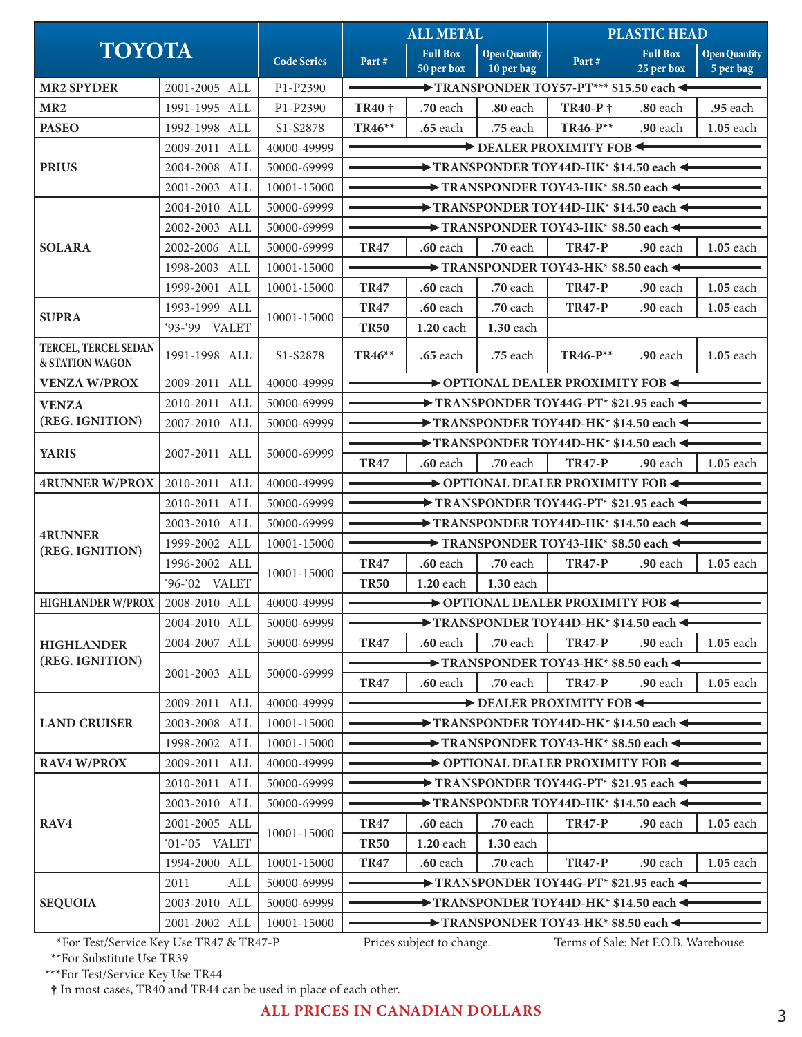|                                                |               |                    | <b>ALL METAL</b>                                                                |                                                         | <b>PLASTIC HEAD</b>                |                                                                                |                               |                                   |  |  |
|------------------------------------------------|---------------|--------------------|---------------------------------------------------------------------------------|---------------------------------------------------------|------------------------------------|--------------------------------------------------------------------------------|-------------------------------|-----------------------------------|--|--|
| <b>TOYOTA</b>                                  |               | <b>Code Series</b> | Part#                                                                           | <b>Full Box</b><br>$\overline{50}$ per $\overline{box}$ | <b>Open Quantity</b><br>10 per bag | Part#                                                                          | <b>Full Box</b><br>25 per box | <b>Open Quantity</b><br>5 per bag |  |  |
| <b>MR2 SPYDER</b>                              | 2001-2005 ALL | P1-P2390           |                                                                                 |                                                         |                                    | $\rightarrow$ TRANSPONDER TOY57-PT*** \$15.50 each $\leftarrow$                |                               |                                   |  |  |
| MR <sub>2</sub>                                | 1991-1995 ALL | P1-P2390           | <b>TR40</b> †                                                                   | .70 each                                                | $.80$ each                         | <b>TR40-P</b> †                                                                | .80 each                      | .95 each                          |  |  |
| <b>PASEO</b>                                   | 1992-1998 ALL | S1-S2878           | TR46**                                                                          | .65 each                                                | .75 each                           | TR46-P**                                                                       | .90 each                      | 1.05 each                         |  |  |
|                                                | 2009-2011 ALL | 40000-49999        | $\rightarrow$ DEALER PROXIMITY FOB $\leftarrow$                                 |                                                         |                                    |                                                                                |                               |                                   |  |  |
| <b>PRIUS</b>                                   | 2004-2008 ALL | 50000-69999        |                                                                                 |                                                         |                                    | $\rightarrow$ TRANSPONDER TOY44D-HK* \$14.50 each $\leftarrow$                 |                               |                                   |  |  |
|                                                | 2001-2003 ALL | 10001-15000        |                                                                                 |                                                         |                                    | $\rightarrow$ TRANSPONDER TOY43-HK* \$8.50 each $\leftarrow$                   |                               |                                   |  |  |
|                                                | 2004-2010 ALL | 50000-69999        | $\blacktriangleright$ TRANSPONDER TOY44D-HK* \$14.50 each $\blacktriangleleft$  |                                                         |                                    |                                                                                |                               |                                   |  |  |
|                                                | 2002-2003 ALL | 50000-69999        | $\rightarrow$ TRANSPONDER TOY43-HK* \$8.50 each $\leftarrow$                    |                                                         |                                    |                                                                                |                               |                                   |  |  |
| <b>SOLARA</b>                                  | 2002-2006 ALL | 50000-69999        | <b>TR47</b>                                                                     | .60 each                                                | $.70$ each                         | <b>TR47-P</b>                                                                  | .90 each                      | <b>1.05</b> each                  |  |  |
|                                                | 1998-2003 ALL | 10001-15000        |                                                                                 |                                                         |                                    | $\rightarrow$ TRANSPONDER TOY43-HK* \$8.50 each $\leftarrow$                   |                               |                                   |  |  |
|                                                | 1999-2001 ALL | 10001-15000        | <b>TR47</b>                                                                     | <b>.60</b> each                                         | $.70$ each                         | <b>TR47-P</b>                                                                  | <b>.90</b> each               | <b>1.05</b> each                  |  |  |
|                                                | 1993-1999 ALL |                    | <b>TR47</b>                                                                     | .60 each                                                | $.70$ each                         | <b>TR47-P</b>                                                                  | .90 each                      | 1.05 each                         |  |  |
| <b>SUPRA</b>                                   | '93-'99 VALET | 10001-15000        | <b>TR50</b>                                                                     | 1.20 each                                               | 1.30 each                          |                                                                                |                               |                                   |  |  |
| <b>TERCEL, TERCEL SEDAN</b><br>& STATION WAGON | 1991-1998 ALL | S1-S2878           | $TR46**$                                                                        | <b>.65</b> each                                         | .75 each                           | $TR46-P^{**}$                                                                  | .90 each                      | 1.05 each                         |  |  |
| <b>VENZA W/PROX</b>                            | 2009-2011 ALL | 40000-49999        |                                                                                 |                                                         |                                    | OPTIONAL DEALER PROXIMITY FOB                                                  |                               |                                   |  |  |
| <b>VENZA</b>                                   | 2010-2011 ALL | 50000-69999        | $\rightarrow$ TRANSPONDER TOY44G-PT* \$21.95 each $\leftarrow$                  |                                                         |                                    |                                                                                |                               |                                   |  |  |
| (REG. IGNITION)                                | 2007-2010 ALL | 50000-69999        | $\blacktriangleright$ TRANSPONDER TOY44D-HK* \$14.50 each $\blacktriangleright$ |                                                         |                                    |                                                                                |                               |                                   |  |  |
|                                                | 2007-2011 ALL | 50000-69999        |                                                                                 |                                                         |                                    | $\blacktriangleright$ TRANSPONDER TOY44D-HK* \$14.50 each $\blacktriangleleft$ |                               |                                   |  |  |
| <b>YARIS</b>                                   |               |                    | <b>TR47</b>                                                                     | $.60$ each                                              | .70 each                           | <b>TR47-P</b>                                                                  | .90 each                      | 1.05 each                         |  |  |
| <b>4RUNNER W/PROX</b>                          | 2010-2011 ALL | 40000-49999        | $\rightarrow$ OPTIONAL DEALER PROXIMITY FOB $\leftarrow$                        |                                                         |                                    |                                                                                |                               |                                   |  |  |
|                                                | 2010-2011 ALL | 50000-69999        | $\rightarrow$ TRANSPONDER TOY44G-PT* \$21.95 each $\leftarrow$                  |                                                         |                                    |                                                                                |                               |                                   |  |  |
|                                                | 2003-2010 ALL | 50000-69999        | TRANSPONDER TOY44D-HK* \$14.50 each                                             |                                                         |                                    |                                                                                |                               |                                   |  |  |
| <b>4RUNNER</b><br>(REG. IGNITION)              | 1999-2002 ALL | 10001-15000        | $\rightarrow$ TRANSPONDER TOY43-HK* \$8.50 each $\leftarrow$                    |                                                         |                                    |                                                                                |                               |                                   |  |  |
|                                                | 1996-2002 ALL |                    | <b>TR47</b>                                                                     | $.60$ each                                              | $.70$ each                         | <b>TR47-P</b>                                                                  | .90 each                      | <b>1.05</b> each                  |  |  |
|                                                | '96-'02 VALET | 10001-15000        | <b>TR50</b>                                                                     | 1.20 each                                               | 1.30 each                          |                                                                                |                               |                                   |  |  |
| <b>HIGHLANDER W/PROX  </b>                     | 2008-2010 ALL | 40000-49999        | $\sim$<br>→ OPTIONAL DEALER PROXIMITY FOB ←                                     |                                                         |                                    |                                                                                |                               |                                   |  |  |
|                                                | 2004-2010 ALL | 50000-69999        | $\blacktriangleright$ TRANSPONDER TOY44D-HK* \$14.50 each $\blacktriangleleft$  |                                                         |                                    |                                                                                |                               |                                   |  |  |
| <b>HIGHLANDER</b>                              | 2004-2007 ALL | 50000-69999        | .70 each<br><b>TR47-P</b><br><b>TR47</b><br>.60 each<br>.90 each                |                                                         |                                    |                                                                                |                               | <b>1.05</b> each                  |  |  |
| (REG. IGNITION)                                |               | 50000-69999        |                                                                                 |                                                         |                                    | $\rightarrow$ TRANSPONDER TOY43-HK* \$8.50 each $\leftarrow$                   |                               |                                   |  |  |
|                                                | 2001-2003 ALL |                    | <b>TR47</b>                                                                     | .60 each                                                | .70 each                           | <b>TR47-P</b>                                                                  | .90 each                      | 1.05 each                         |  |  |
|                                                | 2009-2011 ALL | 40000-49999        | $\rightarrow$ DEALER PROXIMITY FOB $\leftarrow$                                 |                                                         |                                    |                                                                                |                               |                                   |  |  |
| <b>LAND CRUISER</b>                            | 2003-2008 ALL | 10001-15000        | $\rightarrow$ TRANSPONDER TOY44D-HK* \$14.50 each $\leftarrow$                  |                                                         |                                    |                                                                                |                               |                                   |  |  |
|                                                | 1998-2002 ALL | 10001-15000        | $\rightarrow$ TRANSPONDER TOY43-HK* \$8.50 each $\rightarrow$                   |                                                         |                                    |                                                                                |                               |                                   |  |  |
| <b>RAV4 W/PROX</b>                             | 2009-2011 ALL | 40000-49999        |                                                                                 |                                                         |                                    | OPTIONAL DEALER PROXIMITY FOB                                                  |                               |                                   |  |  |
|                                                | 2010-2011 ALL | 50000-69999        | $\blacktriangleright$ TRANSPONDER TOY44G-PT* \$21.95 each $\blacktriangleleft$  |                                                         |                                    |                                                                                |                               |                                   |  |  |
|                                                | 2003-2010 ALL | 50000-69999        | TRANSPONDER TOY44D-HK* \$14.50 each <                                           |                                                         |                                    |                                                                                |                               |                                   |  |  |
| RAV4                                           | 2001-2005 ALL |                    | <b>TR47</b>                                                                     | .60 each                                                | .70 each                           | <b>TR47-P</b>                                                                  | .90 each                      | 1.05 each                         |  |  |
|                                                | '01-'05 VALET | 10001-15000        | <b>TR50</b>                                                                     | 1.20 each                                               | 1.30 each                          |                                                                                |                               |                                   |  |  |
|                                                | 1994-2000 ALL | 10001-15000        | <b>TR47</b>                                                                     | .60 each                                                | .70 each                           | <b>TR47-P</b>                                                                  | .90 each                      | 1.05 each                         |  |  |
|                                                | 2011<br>ALL   | 50000-69999        |                                                                                 |                                                         |                                    | $\rightarrow$ TRANSPONDER TOY44G-PT* \$21.95 each $\leftarrow$                 |                               |                                   |  |  |
| <b>SEQUOIA</b>                                 | 2003-2010 ALL | 50000-69999        |                                                                                 |                                                         |                                    | $\rightarrow$ TRANSPONDER TOY44D-HK* \$14.50 each $\leftarrow$                 |                               |                                   |  |  |
|                                                | 2001-2002 ALL | 10001-15000        | $\rightarrow$ TRANSPONDER TOY43-HK* \$8.50 each $\rightarrow$                   |                                                         |                                    |                                                                                |                               |                                   |  |  |
| *For Test/Service Key Use TR47 & TR47-P        |               |                    |                                                                                 | Prices subject to change.                               |                                    | Terms of Sale: Net F.O.B. Warehouse                                            |                               |                                   |  |  |

\*\*For Substitute Use TR39

\*\*\*For Test/Service Key Use TR44

**†** In most cases, TR40 and TR44 can be used in place of each other.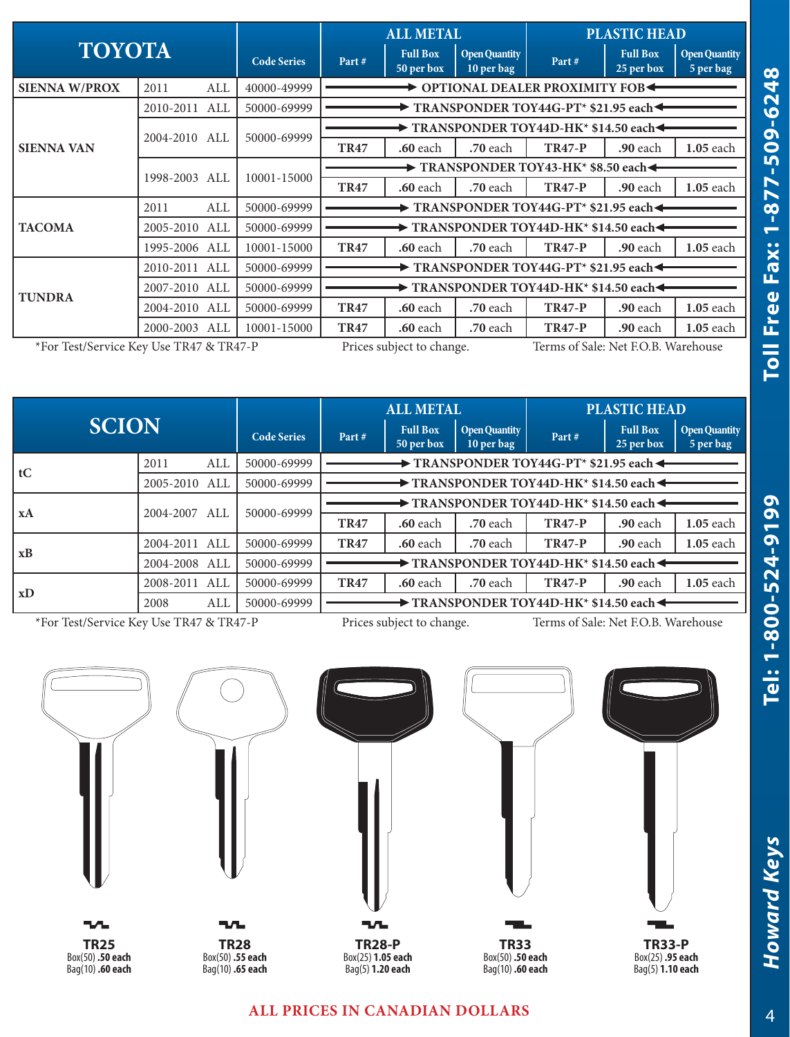|                                         |               |     | <b>ALL METAL</b>                                                 |                                                                                 |                                                                           | <b>PLASTIC HEAD</b>                |                               |                               |                                   |  |
|-----------------------------------------|---------------|-----|------------------------------------------------------------------|---------------------------------------------------------------------------------|---------------------------------------------------------------------------|------------------------------------|-------------------------------|-------------------------------|-----------------------------------|--|
| <b>TOYOTA</b>                           |               |     | <b>Code Series</b>                                               | Part#                                                                           | <b>Full Box</b><br>50 per box                                             | <b>Open Quantity</b><br>10 per bag | Part#                         | <b>Full Box</b><br>25 per box | <b>Open Quantity</b><br>5 per bag |  |
| <b>SIENNA W/PROX</b>                    | 2011          | ALL | 40000-49999                                                      |                                                                                 |                                                                           |                                    | OPTIONAL DEALER PROXIMITY FOB |                               |                                   |  |
|                                         | 2010-2011     | ALL | 50000-69999                                                      | $\blacktriangleright$ TRANSPONDER TOY44G-PT* \$21.95 each $\blacktriangleleft$  |                                                                           |                                    |                               |                               |                                   |  |
| <b>SIENNA VAN</b>                       | 2004-2010 ALL |     |                                                                  |                                                                                 | $\blacktriangleright$ TRANSPONDER TOY44D-HK* \$14.50 each $\blacklozenge$ |                                    |                               |                               |                                   |  |
|                                         |               |     | 50000-69999                                                      | <b>TR47</b>                                                                     | $.60$ each                                                                | <b>.70</b> each                    | <b>TR47-P</b>                 | <b>.90</b> each               | 1.05 each                         |  |
|                                         | 1998-2003 ALL |     | 10001-15000                                                      | $\rightarrow$ TRANSPONDER TOY43-HK* \$8.50 each $\triangleleft$                 |                                                                           |                                    |                               |                               |                                   |  |
|                                         |               |     |                                                                  | <b>TR47</b>                                                                     | .60 each                                                                  | .70 each                           | <b>TR47-P</b>                 | <b>.90</b> each               | 1.05 each                         |  |
|                                         | 2011          | ALL | 50000-69999                                                      | $\blacktriangleright$ TRANSPONDER TOY44G-PT* \$21.95 each $\blacktriangleleft$  |                                                                           |                                    |                               |                               |                                   |  |
| <b>TACOMA</b>                           | 2005-2010     | ALL | 50000-69999                                                      | $\blacktriangleright$ TRANSPONDER TOY44D-HK* \$14.50 each $\blacktriangleleft$  |                                                                           |                                    |                               |                               |                                   |  |
|                                         | 1995-2006 ALL |     | 10001-15000                                                      | <b>TR47</b>                                                                     | <b>.60</b> each                                                           | <b>.70</b> each                    | <b>TR47-P</b>                 | <b>.90</b> each               | 1.05 each                         |  |
|                                         | 2010-2011 ALL |     | 50000-69999                                                      | $\blacktriangleright$ TRANSPONDER TOY44G-PT* \$21.95 each $\blacktriangleleft$  |                                                                           |                                    |                               |                               |                                   |  |
|                                         | 2007-2010 ALL |     | 50000-69999                                                      | $\blacktriangleright$ TRANSPONDER TOY44D-HK* \$14.50 each $\blacktriangleright$ |                                                                           |                                    |                               |                               |                                   |  |
| <b>TUNDRA</b>                           | 2004-2010 ALL |     | 50000-69999                                                      | <b>TR47</b>                                                                     | <b>.60</b> each                                                           | <b>.70</b> each                    | <b>TR47-P</b>                 | <b>.90</b> each               | $1.05$ each                       |  |
|                                         | 2000-2003 ALL |     | 10001-15000                                                      | <b>TR47</b>                                                                     | <b>.60</b> each                                                           | .70 each                           | <b>TR47-P</b>                 | <b>.90</b> each               | $1.05$ each                       |  |
| *For Test/Service Key Use TR47 & TR47-P |               |     | Terms of Sale: Net F.O.B. Warehouse<br>Prices subject to change. |                                                                                 |                                                                           |                                    |                               |                               |                                   |  |

| <b>SCION</b> |               |                    | <b>ALL METAL</b> |                                                                                |                                    | <b>PLASTIC HEAD</b> |                               |                                                                                |             |  |  |
|--------------|---------------|--------------------|------------------|--------------------------------------------------------------------------------|------------------------------------|---------------------|-------------------------------|--------------------------------------------------------------------------------|-------------|--|--|
|              |               | <b>Code Series</b> | Part#            | <b>Full Box</b><br>50 per box                                                  | <b>Open Quantity</b><br>10 per bag | Part#               | <b>Full Box</b><br>25 per box | <b>Open Quantity</b><br>5 per bag                                              |             |  |  |
|              | 2011          | ALL                | 50000-69999      | TRANSPONDER TOY44G-PT* \$21.95 each <                                          |                                    |                     |                               |                                                                                |             |  |  |
| tC           | 2005-2010 ALL |                    | 50000-69999      |                                                                                |                                    |                     |                               | $\blacktriangleright$ TRANSPONDER TOY44D-HK* \$14.50 each $\blacktriangleleft$ |             |  |  |
| xA           | 2004-2007     | ALL                | 50000-69999      | $\rightarrow$ TRANSPONDER TOY44D-HK* \$14.50 each $\rightarrow$                |                                    |                     |                               |                                                                                |             |  |  |
|              |               |                    |                  | <b>TR47</b>                                                                    | <b>.60</b> each                    | $.70$ each          | <b>TR47-P</b>                 | $.90$ each                                                                     | $1.05$ each |  |  |
|              | 2004-2011 ALL |                    | 50000-69999      | <b>TR47</b>                                                                    | <b>.60</b> each                    | $.70$ each          | <b>TR47-P</b>                 | <b>.90</b> each                                                                | $1.05$ each |  |  |
| xB           | 2004-2008     | ALL                | 50000-69999      | $\blacktriangleright$ TRANSPONDER TOY44D-HK* \$14.50 each $\blacktriangleleft$ |                                    |                     |                               |                                                                                |             |  |  |
| xD           | 2008-2011     | ALL                | 50000-69999      | <b>TR47</b>                                                                    | <b>.60</b> each                    | $.70$ each          | <b>TR47-P</b>                 | <b>.90</b> each                                                                | $1.05$ each |  |  |
|              | 2008          | ALL                | 50000-69999      | $\blacktriangleright$ TRANSPONDER TOY44D-HK* \$14.50 each $\blacktriangleleft$ |                                    |                     |                               |                                                                                |             |  |  |
|              |               |                    |                  |                                                                                |                                    |                     |                               |                                                                                |             |  |  |

\*For Test/Service Key Use TR47 & TR47-P Prices subject to change. Terms of Sale: Net F.O.B. Warehouse



## **ALL PRICES IN CANADIAN DOLLARS**

**Howard Keys** 

*Howard Keys* **Tel: 1-800-524-9199 Toll Free Fax: 1-877-509-6248**

Tel: 1-800-524-9199

Toll Free Fax: 1-877-509-6248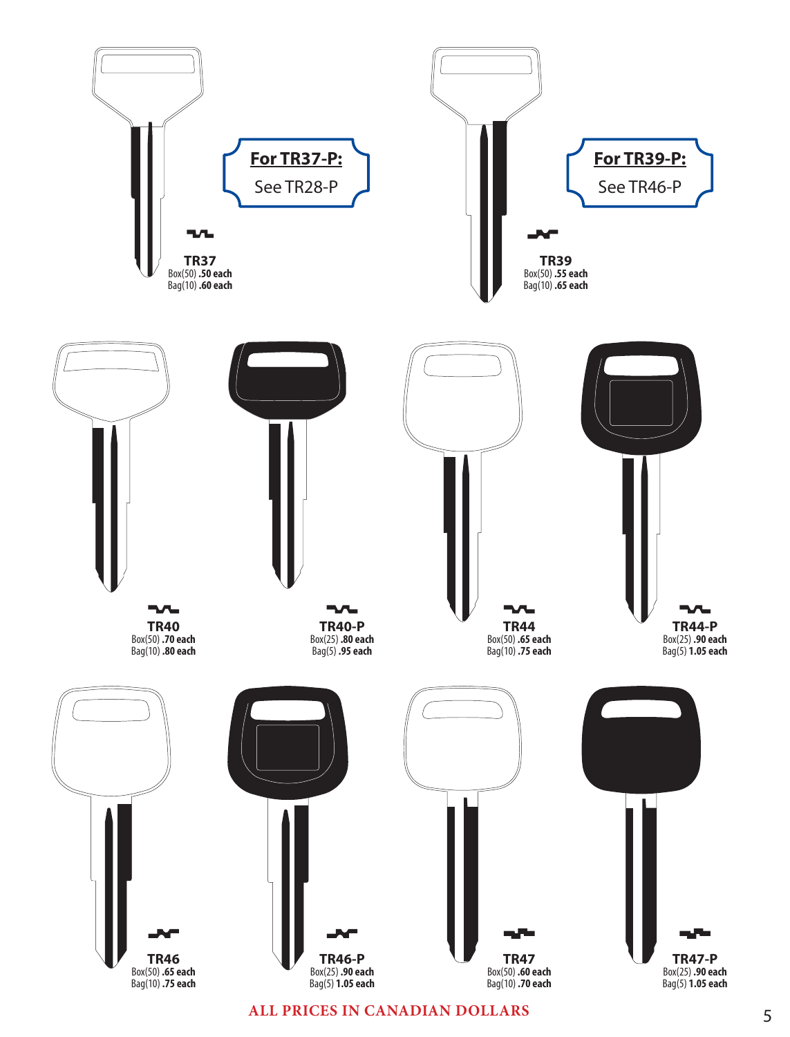

**ALL PRICES IN CANADIAN DOLLARS**